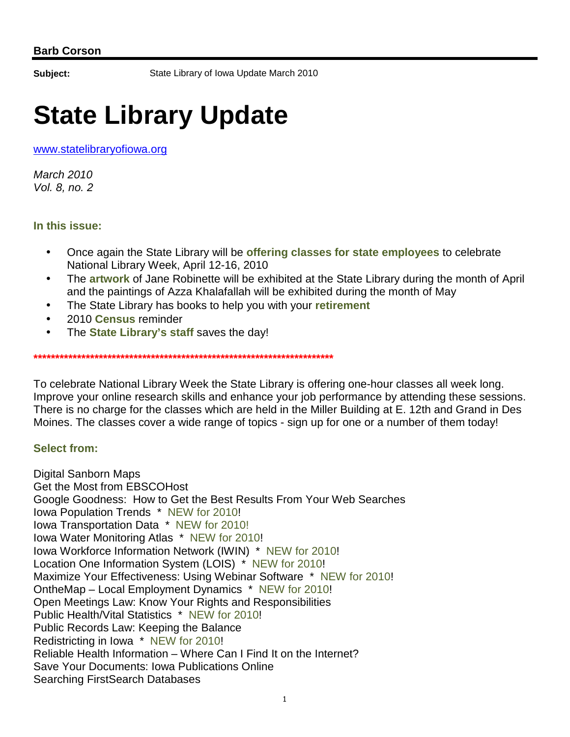**Subject:** State Library of Iowa Update March 2010

# **State Library Update**

www.statelibraryofiowa.org

March 2010 Vol. 8, no. 2

## **In this issue:**

- Once again the State Library will be **offering classes for state employees** to celebrate National Library Week, April 12-16, 2010
- The **artwork** of Jane Robinette will be exhibited at the State Library during the month of April and the paintings of Azza Khalafallah will be exhibited during the month of May
- The State Library has books to help you with your **retirement**

**\*\*\*\*\*\*\*\*\*\*\*\*\*\*\*\*\*\*\*\*\*\*\*\*\*\*\*\*\*\*\*\*\*\*\*\*\*\*\*\*\*\*\*\*\*\*\*\*\*\*\*\*\*\*\*\*\*\*\*\*\*\*\*\*\*\*\*\*\*** 

- 2010 **Census** reminder
- The **State Library's staff** saves the day!

To celebrate National Library Week the State Library is offering one-hour classes all week long. Improve your online research skills and enhance your job performance by attending these sessions. There is no charge for the classes which are held in the Miller Building at E. 12th and Grand in Des Moines. The classes cover a wide range of topics - sign up for one or a number of them today!

# **Select from:**

Digital Sanborn Maps Get the Most from EBSCOHost Google Goodness: How to Get the Best Results From Your Web Searches Iowa Population Trends \* NEW for 2010! Iowa Transportation Data \* NEW for 2010! Iowa Water Monitoring Atlas \* NEW for 2010! Iowa Workforce Information Network (IWIN) \* NEW for 2010! Location One Information System (LOIS) \* NEW for 2010! Maximize Your Effectiveness: Using Webinar Software \* NEW for 2010! OntheMap – Local Employment Dynamics \* NEW for 2010! Open Meetings Law: Know Your Rights and Responsibilities Public Health/Vital Statistics \* NEW for 2010! Public Records Law: Keeping the Balance Redistricting in Iowa \* NEW for 2010! Reliable Health Information – Where Can I Find It on the Internet? Save Your Documents: Iowa Publications Online Searching FirstSearch Databases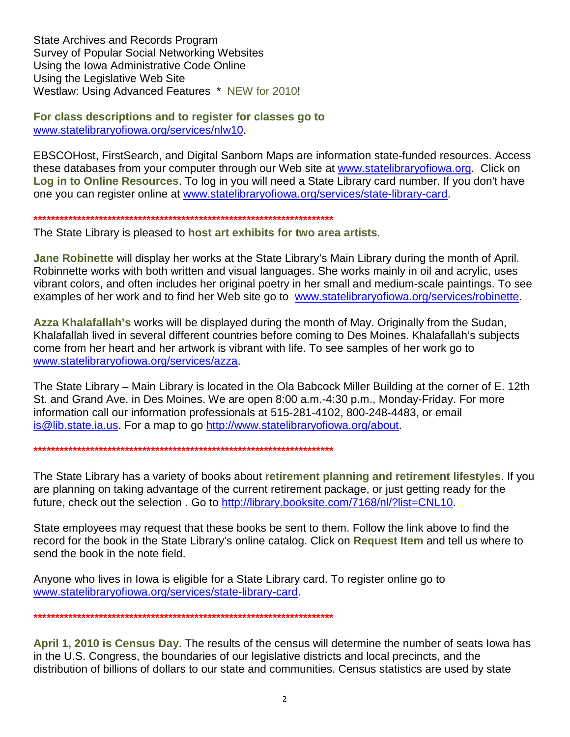State Archives and Records Program Survey of Popular Social Networking Websites Using the Iowa Administrative Code Online Using the Legislative Web Site Westlaw: Using Advanced Features \* NEW for 2010!

**For class descriptions and to register for classes go to** www.statelibraryofiowa.org/services/nlw10.

EBSCOHost, FirstSearch, and Digital Sanborn Maps are information state-funded resources. Access these databases from your computer through our Web site at www.statelibraryofiowa.org. Click on **Log in to Online Resources**. To log in you will need a State Library card number. If you don't have one you can register online at www.statelibraryofiowa.org/services/state-library-card.

**\*\*\*\*\*\*\*\*\*\*\*\*\*\*\*\*\*\*\*\*\*\*\*\*\*\*\*\*\*\*\*\*\*\*\*\*\*\*\*\*\*\*\*\*\*\*\*\*\*\*\*\*\*\*\*\*\*\*\*\*\*\*\*\*\*\*\*\*\*** 

The State Library is pleased to **host art exhibits for two area artists**.

**Jane Robinette** will display her works at the State Library's Main Library during the month of April. Robinnette works with both written and visual languages. She works mainly in oil and acrylic, uses vibrant colors, and often includes her original poetry in her small and medium-scale paintings. To see examples of her work and to find her Web site go to www.statelibraryofiowa.org/services/robinette.

**Azza Khalafallah's** works will be displayed during the month of May. Originally from the Sudan, Khalafallah lived in several different countries before coming to Des Moines. Khalafallah's subjects come from her heart and her artwork is vibrant with life. To see samples of her work go to www.statelibraryofiowa.org/services/azza.

The State Library – Main Library is located in the Ola Babcock Miller Building at the corner of E. 12th St. and Grand Ave. in Des Moines. We are open 8:00 a.m.-4:30 p.m., Monday-Friday. For more information call our information professionals at 515-281-4102, 800-248-4483, or email is@lib.state.ia.us. For a map to go http://www.statelibraryofiowa.org/about.

**\*\*\*\*\*\*\*\*\*\*\*\*\*\*\*\*\*\*\*\*\*\*\*\*\*\*\*\*\*\*\*\*\*\*\*\*\*\*\*\*\*\*\*\*\*\*\*\*\*\*\*\*\*\*\*\*\*\*\*\*\*\*\*\*\*\*\*\*\*** 

The State Library has a variety of books about **retirement planning and retirement lifestyles**. If you are planning on taking advantage of the current retirement package, or just getting ready for the future, check out the selection . Go to http://library.booksite.com/7168/nl/?list=CNL10.

State employees may request that these books be sent to them. Follow the link above to find the record for the book in the State Library's online catalog. Click on **Request Item** and tell us where to send the book in the note field.

Anyone who lives in Iowa is eligible for a State Library card. To register online go to www.statelibraryofiowa.org/services/state-library-card.

**\*\*\*\*\*\*\*\*\*\*\*\*\*\*\*\*\*\*\*\*\*\*\*\*\*\*\*\*\*\*\*\*\*\*\*\*\*\*\*\*\*\*\*\*\*\*\*\*\*\*\*\*\*\*\*\*\*\*\*\*\*\*\*\*\*\*\*\*\*** 

**April 1, 2010 is Census Day**. The results of the census will determine the number of seats Iowa has in the U.S. Congress, the boundaries of our legislative districts and local precincts, and the distribution of billions of dollars to our state and communities. Census statistics are used by state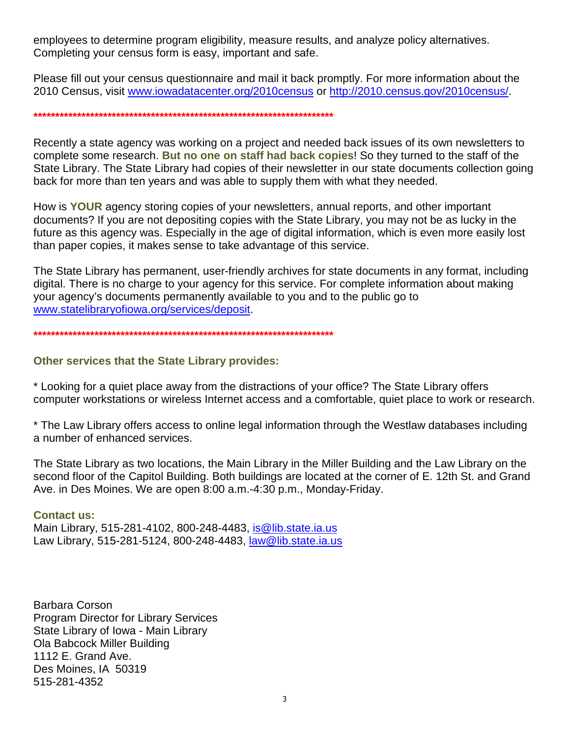employees to determine program eligibility, measure results, and analyze policy alternatives. Completing your census form is easy, important and safe.

Please fill out your census questionnaire and mail it back promptly. For more information about the 2010 Census, visit www.iowadatacenter.org/2010census or http://2010.census.gov/2010census/.

#### 

Recently a state agency was working on a project and needed back issues of its own newsletters to complete some research. But no one on staff had back copies! So they turned to the staff of the State Library. The State Library had copies of their newsletter in our state documents collection going back for more than ten years and was able to supply them with what they needed.

How is YOUR agency storing copies of your newsletters, annual reports, and other important documents? If you are not depositing copies with the State Library, you may not be as lucky in the future as this agency was. Especially in the age of digital information, which is even more easily lost than paper copies, it makes sense to take advantage of this service.

The State Library has permanent, user-friendly archives for state documents in any format, including digital. There is no charge to your agency for this service. For complete information about making your agency's documents permanently available to you and to the public go to www.statelibraryofiowa.org/services/deposit.

#### 

## **Other services that the State Library provides:**

\* Looking for a quiet place away from the distractions of your office? The State Library offers computer workstations or wireless Internet access and a comfortable, quiet place to work or research.

\* The Law Library offers access to online legal information through the Westlaw databases including a number of enhanced services.

The State Library as two locations, the Main Library in the Miller Building and the Law Library on the second floor of the Capitol Building. Both buildings are located at the corner of E. 12th St. and Grand Ave. in Des Moines. We are open 8:00 a.m.-4:30 p.m., Monday-Friday.

### **Contact us:**

Main Library, 515-281-4102, 800-248-4483, is @lib.state.ia.us Law Library, 515-281-5124, 800-248-4483, law@lib.state.ia.us

Barbara Corson **Program Director for Library Services** State Library of Iowa - Main Library Ola Babcock Miller Building 1112 E. Grand Ave. Des Moines, IA 50319 515-281-4352